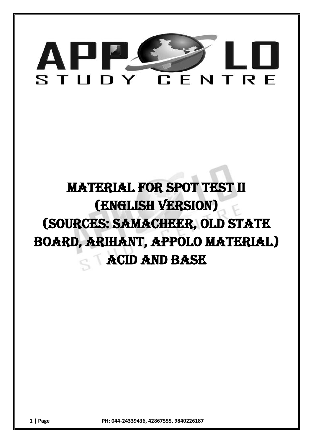

# MATERIAL FOR SPOT TEST II (english VERSION) (sources: samacheer, OLD STATE BOARD, arihant, appolo material) Acid and base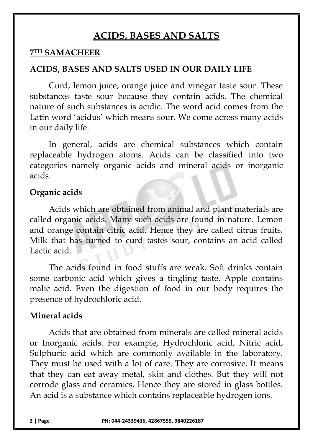## **ACIDS, BASES AND SALTS**

#### **7TH SAMACHEER**

## **ACIDS, BASES AND SALTS USED IN OUR DAILY LIFE**

Curd, lemon juice, orange juice and vinegar taste sour. These substances taste sour because they contain acids. The chemical nature of such substances is acidic. The word acid comes from the Latin word 'acidus' which means sour. We come across many acids in our daily life.

In general, acids are chemical substances which contain replaceable hydrogen atoms. Acids can be classified into two categories namely organic acids and mineral acids or inorganic acids.

#### **Organic acids**

Acids which are obtained from animal and plant materials are called organic acids. Many such acids are found in nature. Lemon and orange contain citric acid. Hence they are called citrus fruits. Milk that has turned to curd tastes sour, contains an acid called Lactic acid.

The acids found in food stuffs are weak. Soft drinks contain some carbonic acid which gives a tingling taste. Apple contains malic acid. Even the digestion of food in our body requires the presence of hydrochloric acid.

#### **Mineral acids**

Acids that are obtained from minerals are called mineral acids or Inorganic acids. For example, Hydrochloric acid, Nitric acid, Sulphuric acid which are commonly available in the laboratory. They must be used with a lot of care. They are corrosive. It means that they can eat away metal, skin and clothes. But they will not corrode glass and ceramics. Hence they are stored in glass bottles. An acid is a substance which contains replaceable hydrogen ions.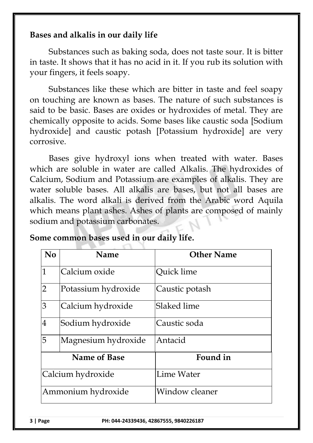## **Bases and alkalis in our daily life**

Substances such as baking soda, does not taste sour. It is bitter in taste. It shows that it has no acid in it. If you rub its solution with your fingers, it feels soapy.

Substances like these which are bitter in taste and feel soapy on touching are known as bases. The nature of such substances is said to be basic. Bases are oxides or hydroxides of metal. They are chemically opposite to acids. Some bases like caustic soda [Sodium hydroxide] and caustic potash [Potassium hydroxide] are very corrosive.

Bases give hydroxyl ions when treated with water. Bases which are soluble in water are called Alkalis. The hydroxides of Calcium, Sodium and Potassium are examples of alkalis. They are water soluble bases. All alkalis are bases, but not all bases are alkalis. The word alkali is derived from the Arabic word Aquila which means plant ashes. Ashes of plants are composed of mainly sodium and potassium carbonates.

| No                  | <b>Name</b>         | <b>Other Name</b> |
|---------------------|---------------------|-------------------|
| $\mathbf{1}$        | Calcium oxide       | Quick lime        |
| $\overline{2}$      | Potassium hydroxide | Caustic potash    |
| 3                   | Calcium hydroxide   | Slaked lime       |
| $\overline{4}$      | Sodium hydroxide    | Caustic soda      |
| 5                   | Magnesium hydroxide | Antacid           |
| <b>Name of Base</b> |                     | Found in          |
| Calcium hydroxide   |                     | <b>Lime Water</b> |
| Ammonium hydroxide  |                     | Window cleaner    |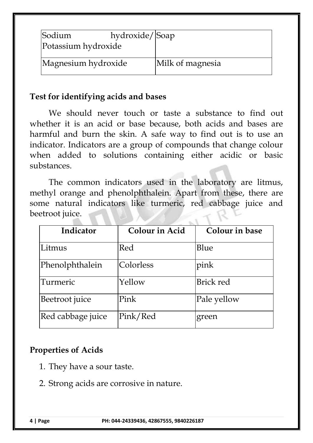| Sodium<br>Potassium hydroxide | hydroxide/Soap |                  |
|-------------------------------|----------------|------------------|
| Magnesium hydroxide           |                | Milk of magnesia |

#### **Test for identifying acids and bases**

We should never touch or taste a substance to find out whether it is an acid or base because, both acids and bases are harmful and burn the skin. A safe way to find out is to use an indicator. Indicators are a group of compounds that change colour when added to solutions containing either acidic or basic substances.

The common indicators used in the laboratory are litmus, methyl orange and phenolphthalein. Apart from these, there are some natural indicators like turmeric, red cabbage juice and beetroot juice.

| Indicator         | <b>Colour in Acid</b> | Colour in base   |  |
|-------------------|-----------------------|------------------|--|
| Litmus            | Red                   | Blue             |  |
| Phenolphthalein   | Colorless             | pink             |  |
| Turmeric          | Yellow                | <b>Brick red</b> |  |
| Beetroot juice    | Pink                  | Pale yellow      |  |
| Red cabbage juice | Pink/Red              | green            |  |

## **Properties of Acids**

- 1. They have a sour taste.
- 2. Strong acids are corrosive in nature.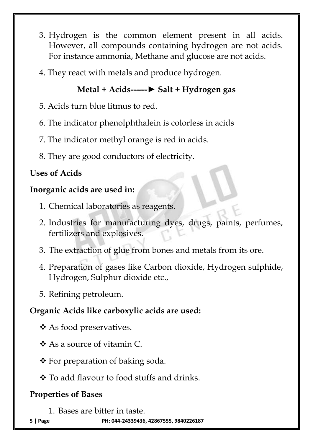- 3. Hydrogen is the common element present in all acids. However, all compounds containing hydrogen are not acids. For instance ammonia, Methane and glucose are not acids.
- 4. They react with metals and produce hydrogen.

## **Metal + Acids------► Salt + Hydrogen gas**

- 5. Acids turn blue litmus to red.
- 6. The indicator phenolphthalein is colorless in acids
- 7. The indicator methyl orange is red in acids.
- 8. They are good conductors of electricity.

## **Uses of Acids**

## **Inorganic acids are used in:**

- 1. Chemical laboratories as reagents.
- 2. Industries for manufacturing dyes, drugs, paints, perfumes, fertilizers and explosives.
- 3. The extraction of glue from bones and metals from its ore.
- 4. Preparation of gases like Carbon dioxide, Hydrogen sulphide, Hydrogen, Sulphur dioxide etc.,
- 5. Refining petroleum.

## **Organic Acids like carboxylic acids are used:**

- ❖ As food preservatives.
- As a source of vitamin C.
- $\triangle$  For preparation of baking soda.
- To add flavour to food stuffs and drinks.

## **Properties of Bases**

1. Bases are bitter in taste.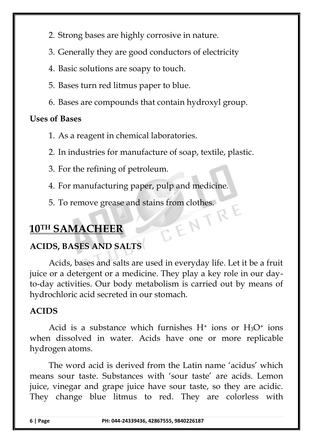2. Strong bases are highly corrosive in nature.

3. Generally they are good conductors of electricity

- 4. Basic solutions are soapy to touch.
- 5. Bases turn red litmus paper to blue.
- 6. Bases are compounds that contain hydroxyl group.

## **Uses of Bases**

- 1. As a reagent in chemical laboratories.
- 2. In industries for manufacture of soap, textile, plastic.
- 3. For the refining of petroleum.
- 4. For manufacturing paper, pulp and medicine.
- 5. To remove grease and stains from clothes.<br> **SAMACHEER**

## **10TH SAMACHEER**

## **ACIDS, BASES AND SALTS**

Acids, bases and salts are used in everyday life. Let it be a fruit juice or a detergent or a medicine. They play a key role in our dayto-day activities. Our body metabolism is carried out by means of hydrochloric acid secreted in our stomach.

## **ACIDS**

Acid is a substance which furnishes  $H^+$  ions or  $H_3O^+$  ions when dissolved in water. Acids have one or more replicable hydrogen atoms.

The word acid is derived from the Latin name 'acidus' which means sour taste. Substances with 'sour taste' are acids. Lemon juice, vinegar and grape juice have sour taste, so they are acidic. They change blue litmus to red. They are colorless with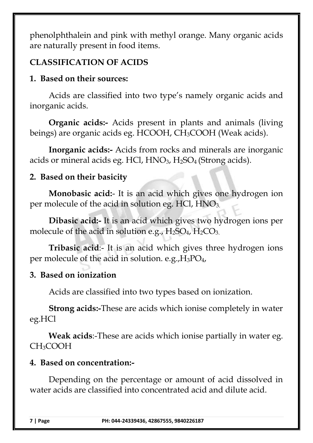phenolphthalein and pink with methyl orange. Many organic acids are naturally present in food items.

## **CLASSIFICATION OF ACIDS**

## **1. Based on their sources:**

Acids are classified into two type's namely organic acids and inorganic acids.

**Organic acids:-** Acids present in plants and animals (living beings) are organic acids eg. HCOOH, CH3COOH (Weak acids).

**Inorganic acids:-** Acids from rocks and minerals are inorganic acids or mineral acids eg. HCl,  $HNO<sub>3</sub>$ ,  $H<sub>2</sub>SO<sub>4</sub>$  (Strong acids).

## **2. Based on their basicity**

**Monobasic acid:**- It is an acid which gives one hydrogen ion per molecule of the acid in solution eg. HCl,  $HNO<sub>3</sub>$ .

**Dibasic acid:-** It is an acid which gives two hydrogen ions per molecule of the acid in solution e.g.,  $H_2SO_4$ ,  $H_2CO_3$ .

**Tribasic acid**:- It is an acid which gives three hydrogen ions per molecule of the acid in solution. e.g.,  $H_3PO_4$ ,

## **3. Based on ionization**

Acids are classified into two types based on ionization.

**Strong acids:-**These are acids which ionise completely in water eg.HCl

**Weak acids**:-These are acids which ionise partially in water eg. CH3COOH

## **4. Based on concentration:-**

Depending on the percentage or amount of acid dissolved in water acids are classified into concentrated acid and dilute acid.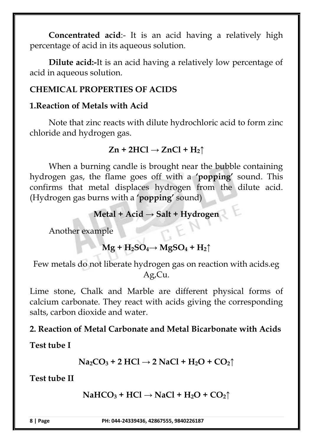**Concentrated acid**:- It is an acid having a relatively high percentage of acid in its aqueous solution.

**Dilute acid:-**It is an acid having a relatively low percentage of acid in aqueous solution.

## **CHEMICAL PROPERTIES OF ACIDS**

## **1.Reaction of Metals with Acid**

Note that zinc reacts with dilute hydrochloric acid to form zinc chloride and hydrogen gas.

## $Zn + 2HCl \rightarrow ZnCl + H_2\uparrow$

When a burning candle is brought near the bubble containing hydrogen gas, the flame goes off with a **'popping'** sound. This confirms that metal displaces hydrogen from the dilute acid. (Hydrogen gas burns with a **'popping'** sound)

## **Metal + Acid → Salt + Hydrogen**

Another example

## $Mg + H_2SO_4 \rightarrow MgSO_4 + H_2 \uparrow$

Few metals do not liberate hydrogen gas on reaction with acids.eg Ag,Cu.

Lime stone, Chalk and Marble are different physical forms of calcium carbonate. They react with acids giving the corresponding salts, carbon dioxide and water.

## **2. Reaction of Metal Carbonate and Metal Bicarbonate with Acids**

**Test tube I**

$$
Na_2CO_3 + 2\;HCl \rightarrow 2\;NaCl + H_2O + CO_2\uparrow
$$

**Test tube II**

```
NAHCO<sub>3</sub> + HCl \rightarrow NaCl + H<sub>2</sub>O + CO<sub>2</sub>
```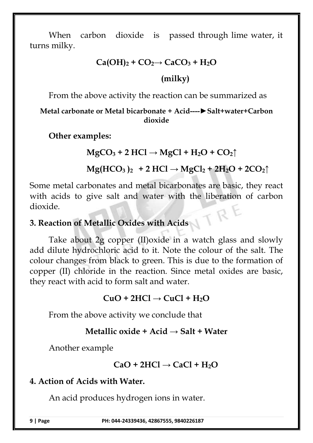When carbon dioxide is passed through lime water, it turns milky.

#### $Ca(OH)_2 + CO_2 \rightarrow CaCO_3 + H_2O$

## **(milky)**

From the above activity the reaction can be summarized as

#### **Metal carbonate or Metal bicarbonate + Acid----►Salt+water+Carbon dioxide**

**Other examples:**

## $MgCO<sub>3</sub>$  **+ 2 HCl**  $\rightarrow$   $MgCl$  **+ H<sub>2</sub>O + CO**<sub>2</sub> $\uparrow$

## $Mg(HCO_3)_{2}$  + 2 HCl  $\rightarrow$   $MgCl_2$  + 2H<sub>2</sub>O + 2CO<sub>2</sub> $\uparrow$

Some metal carbonates and metal bicarbonates are basic, they react with acids to give salt and water with the liberation of carbon dioxide.

#### **3. Reaction of Metallic Oxides with Acids**

Take about 2g copper (II)oxide in a watch glass and slowly add dilute hydrochloric acid to it. Note the colour of the salt. The colour changes from black to green. This is due to the formation of copper (II) chloride in the reaction. Since metal oxides are basic, they react with acid to form salt and water.

## $CuO + 2HCl \rightarrow CuCl + H<sub>2</sub>O$

From the above activity we conclude that

## **Metallic oxide + Acid → Salt + Water**

Another example

## $CaO + 2HCl \rightarrow CaCl + H<sub>2</sub>O$

## **4. Action of Acids with Water.**

An acid produces hydrogen ions in water.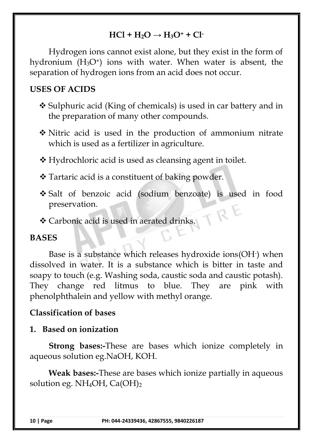## $HCl + H_2O \rightarrow H_3O^+ + Cl^-$

Hydrogen ions cannot exist alone, but they exist in the form of hydronium  $(H<sub>3</sub>O<sup>+</sup>)$  ions with water. When water is absent, the separation of hydrogen ions from an acid does not occur.

## **USES OF ACIDS**

- Sulphuric acid (King of chemicals) is used in car battery and in the preparation of many other compounds.
- Nitric acid is used in the production of ammonium nitrate which is used as a fertilizer in agriculture.
- Hydrochloric acid is used as cleansing agent in toilet.
- Tartaric acid is a constituent of baking powder.
- Salt of benzoic acid (sodium benzoate) is used in food preservation.
- Carbonic acid is used in aerated drinks.

#### **BASES**

Base is a substance which releases hydroxide ions(OH-) when dissolved in water. It is a substance which is bitter in taste and soapy to touch (e.g. Washing soda, caustic soda and caustic potash). They change red litmus to blue. They are pink with phenolphthalein and yellow with methyl orange.

#### **Classification of bases**

#### **1. Based on ionization**

**Strong bases:-**These are bases which ionize completely in aqueous solution eg.NaOH, KOH.

**Weak bases:-**These are bases which ionize partially in aqueous solution eg. NH<sub>4</sub>OH, Ca(OH)<sub>2</sub>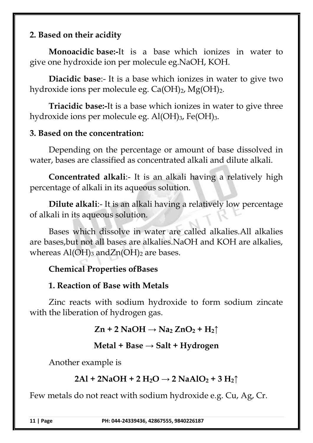## **2. Based on their acidity**

**Monoacidic base:-**It is a base which ionizes in water to give one hydroxide ion per molecule eg.NaOH, KOH.

**Diacidic base**:- It is a base which ionizes in water to give two hydroxide ions per molecule eg.  $Ca(OH)_2$ ,  $Mg(OH)_2$ .

**Triacidic base:-**It is a base which ionizes in water to give three hydroxide ions per molecule eg. Al(OH)<sub>3</sub>, Fe(OH)<sub>3</sub>.

#### **3. Based on the concentration:**

Depending on the percentage or amount of base dissolved in water, bases are classified as concentrated alkali and dilute alkali.

**Concentrated alkali**:- It is an alkali having a relatively high percentage of alkali in its aqueous solution.

**Dilute alkali:**- It is an alkali having a relatively low percentage of alkali in its aqueous solution.

Bases which dissolve in water are called alkalies.All alkalies are bases,but not all bases are alkalies.NaOH and KOH are alkalies, whereas  $Al(OH)_3$  and $Zn(OH)_2$  are bases.

## **Chemical Properties ofBases**

## **1. Reaction of Base with Metals**

Zinc reacts with sodium hydroxide to form sodium zincate with the liberation of hydrogen gas.

 $\text{Zn} + 2 \text{ NaOH} \rightarrow \text{Na}_2 \text{ ZnO}_2 + \text{H}_2 \uparrow$ 

## **Metal + Base → Salt + Hydrogen**

Another example is

## $2\text{Al} + 2\text{NaOH} + 2\text{H}_2\text{O} \rightarrow 2\text{NaAlO}_2 + 3\text{H}_2\text{O}$

Few metals do not react with sodium hydroxide e.g. Cu, Ag, Cr.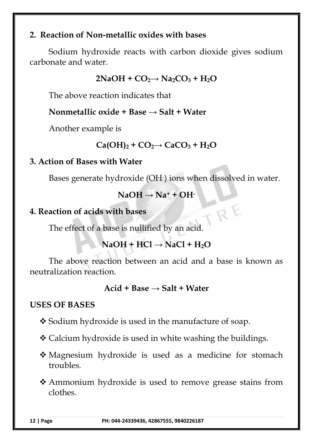## **2. Reaction of Non-metallic oxides with bases**

Sodium hydroxide reacts with carbon dioxide gives sodium carbonate and water.

 $2NaOH + CO<sub>2</sub> \rightarrow Na<sub>2</sub>CO<sub>3</sub> + H<sub>2</sub>O$ 

The above reaction indicates that

#### **Nonmetallic oxide + Base → Salt + Water**

Another example is

```
Ca(OH)_2 + CO_2 \rightarrow CaCO_3 + H_2O
```
## **3. Action of Bases with Water**

Bases generate hydroxide (OH-) ions when dissolved in water.

TRE

 $NaOH \rightarrow Na^+ + OH^-$ 

## **4. Reaction of acids with bases**

The effect of a base is nullified by an acid.

## $NaOH + HCl \rightarrow NaCl + H<sub>2</sub>O$

The above reaction between an acid and a base is known as neutralization reaction.

#### **Acid + Base → Salt + Water**

## **USES OF BASES**

- **❖** Sodium hydroxide is used in the manufacture of soap.
- Calcium hydroxide is used in white washing the buildings.
- Magnesium hydroxide is used as a medicine for stomach troubles.
- Ammonium hydroxide is used to remove grease stains from clothes.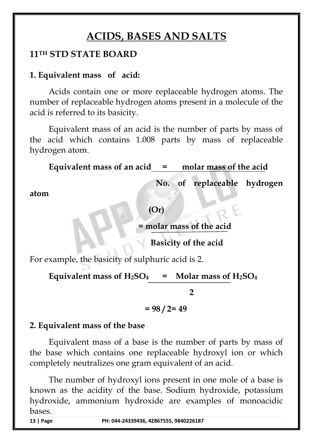## **ACIDS, BASES AND SALTS**

## **11TH STD STATE BOARD**

#### **1. Equivalent mass of acid:**

Acids contain one or more replaceable hydrogen atoms. The number of replaceable hydrogen atoms present in a molecule of the acid is referred to its basicity.

Equivalent mass of an acid is the number of parts by mass of the acid which contains 1.008 parts by mass of replaceable hydrogen atom.

**Equivalent mass of an acid = molar mass of the acid** 

 **No. of replaceable hydrogen** 

**atom**

**(Or)**

**= molar mass of the acid** 

 **Basicity of the acid**

For example, the basicity of sulphuric acid is 2.

Equivalent mass of  $H_2SO_4$  = Molar mass of  $H_2SO_4$ 

 **2**

**= 98 / 2= 49**

#### **2. Equivalent mass of the base**

Equivalent mass of a base is the number of parts by mass of the base which contains one replaceable hydroxyl ion or which completely neutralizes one gram equivalent of an acid.

The number of hydroxyl ions present in one mole of a base is known as the acidity of the base. Sodium hydroxide, potassium hydroxide, ammonium hydroxide are examples of monoacidic bases.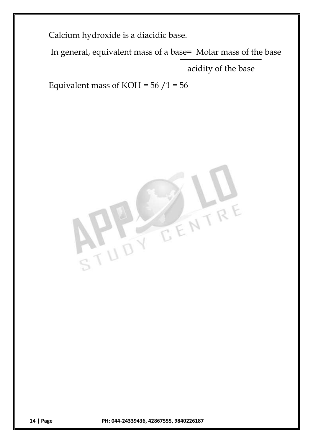Calcium hydroxide is a diacidic base.

In general, equivalent mass of a base= Molar mass of the base

acidity of the base

Equivalent mass of KOH =  $56/1 = 56$ 

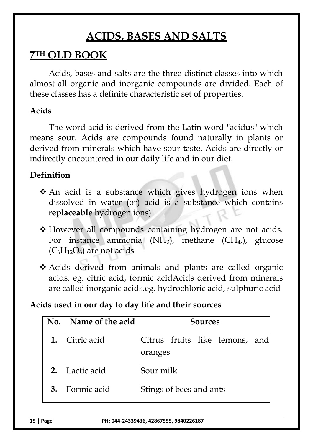## **ACIDS, BASES AND SALTS**

## **7 TH OLD BOOK**

Acids, bases and salts are the three distinct classes into which almost all organic and inorganic compounds are divided. Each of these classes has a definite characteristic set of properties.

## **Acids**

The word acid is derived from the Latin word "acidus" which means sour. Acids are compounds found naturally in plants or derived from minerals which have sour taste. Acids are directly or indirectly encountered in our daily life and in our diet.

## **Definition**

- An acid is a substance which gives hydrogen ions when dissolved in water (or) acid is a substance which contains **replaceable** hydrogen ions)
- However all compounds containing hydrogen are not acids. For instance ammonia (NH<sub>3</sub>), methane (CH<sub>4</sub>,), glucose  $(C_6H_{12}O_6)$  are not acids.
- Acids derived from animals and plants are called organic acids. eg. citric acid, formic acidAcids derived from minerals are called inorganic acids.eg, hydrochloric acid, sulphuric acid

## **Acids used in our day to day life and their sources**

| No. | Name of the acid | <b>Sources</b>                 |  |
|-----|------------------|--------------------------------|--|
|     | Citric acid      | Citrus fruits like lemons, and |  |
|     |                  | oranges                        |  |
| 2.  | Lactic acid      | Sour milk                      |  |
| 3.  | Formic acid      | Stings of bees and ants        |  |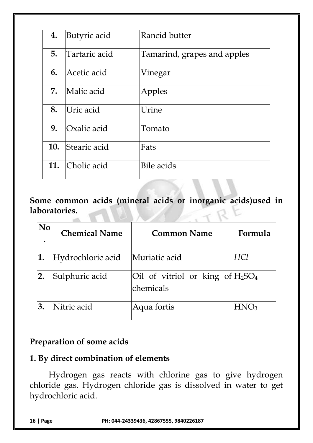| 4.  | Butyric acid  | Rancid butter               |
|-----|---------------|-----------------------------|
| 5.  | Tartaric acid | Tamarind, grapes and apples |
| 6.  | Acetic acid   | Vinegar                     |
| 7.  | Malic acid    | Apples                      |
| 8.  | Uric acid     | Urine                       |
| 9.  | Oxalic acid   | Tomato                      |
| 10. | Stearic acid  | Fats                        |
| 11. | Cholic acid   | Bile acids                  |

**Some common acids (mineral acids or inorganic acids)used in laboratories.**

| $\mathbf{N}\mathbf{0}$ | <b>Chemical Name</b> | <b>Common Name</b>                               | Formula |
|------------------------|----------------------|--------------------------------------------------|---------|
| 1.                     | Hydrochloric acid    | Muriatic acid                                    | HCl     |
| 2.                     | Sulphuric acid       | Oil of vitriol or king of $H_2SO_4$<br>chemicals |         |
| 3.                     | Nitric acid          | Aqua fortis                                      | HNO3    |

## **Preparation of some acids**

## **1. By direct combination of elements**

Hydrogen gas reacts with chlorine gas to give hydrogen chloride gas. Hydrogen chloride gas is dissolved in water to get hydrochloric acid.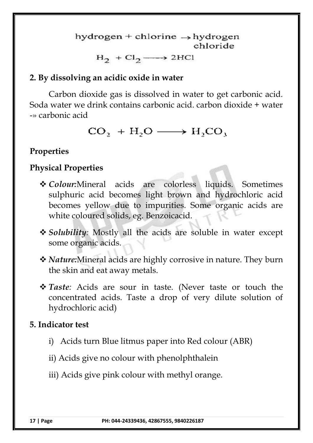hydrogen + chlorine  $\rightarrow$  hydrogen chloride

## $H_2$  + Cl<sub>2</sub>  $\longrightarrow$  2HCl

## **2. By dissolving an acidic oxide in water**

Carbon dioxide gas is dissolved in water to get carbonic acid. Soda water we drink contains carbonic acid. carbon dioxide + water -» carbonic acid

 $CO_2 + H_2O \longrightarrow H_2CO_3$ 

## **Properties**

## **Physical Properties**

- *Colour:*Mineral acids are colorless liquids. Sometimes sulphuric acid becomes light brown and hydrochloric acid becomes yellow due to impurities. Some organic acids are white coloured solids, eg. Benzoicacid.
- *Solubility:* Mostly all the acids are soluble in water except some organic acids.
- *Nature:*Mineral acids are highly corrosive in nature. They burn the skin and eat away metals.
- *Taste:* Acids are sour in taste. (Never taste or touch the concentrated acids. Taste a drop of very dilute solution of hydrochloric acid)

## **5. Indicator test**

- i) Acids turn Blue litmus paper into Red colour (ABR)
- ii) Acids give no colour with phenolphthalein
- iii) Acids give pink colour with methyl orange.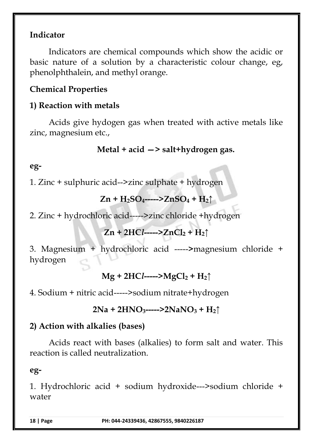## **Indicator**

Indicators are chemical compounds which show the acidic or basic nature of a solution by a characteristic colour change, eg, phenolphthalein, and methyl orange.

## **Chemical Properties**

## **1) Reaction with metals**

Acids give hydogen gas when treated with active metals like zinc, magnesium etc.,

## **Metal + acid —> salt+hydrogen gas.**

## **eg-**

1. Zinc + sulphuric acid--*>*zinc sulphate + hydrogen

$$
Zn + H_2SO_4 \rightarrow ZnSO_4 + H_2 \uparrow
$$

2. Zinc + hydrochloric acid----->zinc chloride +hydrogen

$$
Zn + 2HCl--- > ZnCl2 + H2\uparrow
$$

3. Magnesium + hydrochloric acid -----**>**magnesium chloride + hydrogen

**Mg + 2HC***l***----->MgCl<sup>2</sup> + H2↑**

4. Sodium + nitric acid----->sodium nitrate+hydrogen

#### **2Na + 2HNO3----->2NaNO<sup>3</sup> + H2↑**

## **2) Action with alkalies (bases)**

Acids react with bases (alkalies) to form salt and water. This reaction is called neutralization.

#### **eg-**

1. Hydrochloric acid + sodium hydroxide---*>*sodium chloride + water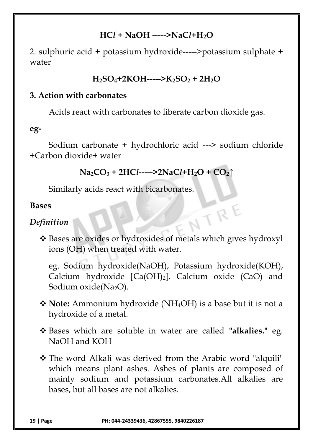## **HC***l* **+ NaOH -----***>***NaC***l***+H2O**

2. sulphuric acid + potassium hydroxide-----*>*potassium sulphate + water

#### **H2SO4+2KOH----->K2SO<sup>2</sup> + 2H2O**

#### **3. Action with carbonates**

Acids react with carbonates to liberate carbon dioxide gas.

#### **eg-**

Sodium carbonate + hydrochloric acid ---> sodium chloride +Carbon dioxide+ water

```
Na2CO3 + 2HCl----->2NaCl+H2O + CO2↑
```
Similarly acids react with bicarbonates.

#### **Bases**

## *Definition*

 Bases are oxides or hydroxides of metals which gives hydroxyl ions (OH) when treated with water.

NTRE

eg. Sodium hydroxide(NaOH), Potassium hydroxide(KOH), Calcium hydroxide [Ca(OH)2], Calcium oxide (CaO) and Sodium oxide(Na<sub>2</sub>O).

- **Note:** Ammonium hydroxide (NH4OH) is a base but it is not a hydroxide of a metal.
- Bases which are soluble in water are called **"alkalies."** eg. NaOH and KOH
- The word Alkali was derived from the Arabic word "alquili" which means plant ashes. Ashes of plants are composed of mainly sodium and potassium carbonates.All alkalies are bases, but all bases are not alkalies.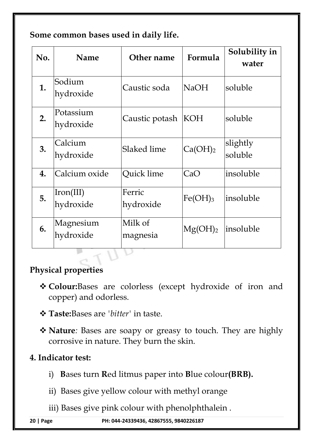**Some common bases used in daily life.**

| No. | <b>Name</b>            | Other name          | Formula             | Solubility in<br>water |
|-----|------------------------|---------------------|---------------------|------------------------|
| 1.  | Sodium<br>hydroxide    | Caustic soda        | <b>NaOH</b>         | soluble                |
| 2.  | Potassium<br>hydroxide | Caustic potash      | KOH                 | soluble                |
| 3.  | Calcium<br>hydroxide   | Slaked lime         | Ca(OH) <sub>2</sub> | slightly<br>soluble    |
| 4.  | Calcium oxide          | Quick lime          | CaO                 | insoluble              |
| 5.  | Iron(III)<br>hydroxide | Ferric<br>hydroxide | $Fe(OH)_3$          | insoluble              |
| 6.  | Magnesium<br>hydroxide | Milk of<br>magnesia | Mg(OH) <sub>2</sub> | insoluble              |
|     |                        |                     |                     |                        |

## **Physical properties**

- **Colour:**Bases are colorless (except hydroxide of iron and copper) and odorless.
- **Taste:**Bases are *'bitter'* in taste.
- **Nature***:* Bases are soapy or greasy to touch. They are highly corrosive in nature. They burn the skin.

## **4. Indicator test:**

- i) **B**ases turn **R**ed litmus paper into **B**lue colour**(BRB).**
- ii) Bases give yellow colour with methyl orange
- iii) Bases give pink colour with phenolphthalein .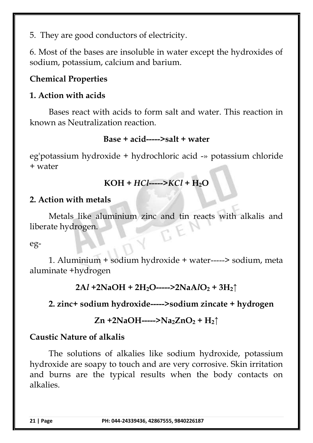5. They are good conductors of electricity.

6. Most of the bases are insoluble in water except the hydroxides of sodium, potassium, calcium and barium.

## **Chemical Properties**

## **1. Action with acids**

Bases react with acids to form salt and water. This reaction in known as Neutralization reaction.

## **Base + acid-----***>***salt + water**

eg'potassium hydroxide + hydrochloric acid -» potassium chloride + water

## **KOH +** *HCl***-----***>KCl +* **H2O**

#### **2. Action with metals**

Metals like aluminium zinc and tin reacts with alkalis and liberate hydrogen.

#### eg-

1. Aluminium + sodium hydroxide + water-----> sodium, meta aluminate +hydrogen

**2A***l* **+2NaOH + 2H2O-----***>***2NaA***l***O<sup>2</sup> + 3H2↑**

## **2. zinc+ sodium hydroxide-----***>***sodium zincate + hydrogen**

## **Zn +2NaOH----->Na2ZnO<sup>2</sup> + H2↑**

## **Caustic Nature of alkalis**

The solutions of alkalies like sodium hydroxide, potassium hydroxide are soapy to touch and are very corrosive. Skin irritation and burns are the typical results when the body contacts on alkalies.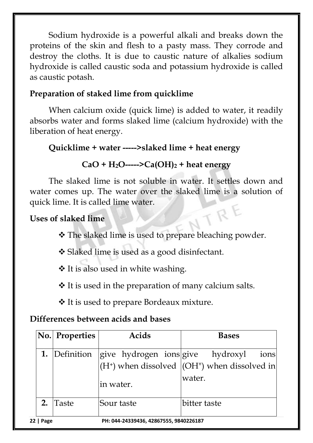Sodium hydroxide is a powerful alkali and breaks down the proteins of the skin and flesh to a pasty mass. They corrode and destroy the cloths. It is due to caustic nature of alkalies sodium hydroxide is called caustic soda and potassium hydroxide is called as caustic potash.

## **Preparation of staked lime from quicklime**

When calcium oxide (quick lime) is added to water, it readily absorbs water and forms slaked lime (calcium hydroxide) with the liberation of heat energy.

## **Quicklime + water -----***>***slaked lime + heat energy**

## $CaO + H_2O$ -----> $Ca(OH)_2$  + heat energy

The slaked lime is not soluble in water. It settles down and water comes up. The water over the slaked lime is a solution of quick lime. It is called lime water. TRE

## **Uses of slaked lime**

The slaked lime is used to prepare bleaching powder.

Slaked lime is used as a good disinfectant.

It is also used in white washing.

 $\triangle$  It is used in the preparation of many calcium salts.

It is used to prepare Bordeaux mixture.

## **Differences between acids and bases**

|                                                     | No. Properties | Acids      | <b>Bases</b>                                                                                            |
|-----------------------------------------------------|----------------|------------|---------------------------------------------------------------------------------------------------------|
|                                                     | 1. Definition  | in water.  | give hydrogen ions give  hydroxyl  ions <br>$(H+)$ when dissolved $ (OH'')$ when dissolved in<br>water. |
| 2.                                                  | Taste          | Sour taste | bitter taste                                                                                            |
| PH: 044-24339436, 42867555, 9840226187<br>22   Page |                |            |                                                                                                         |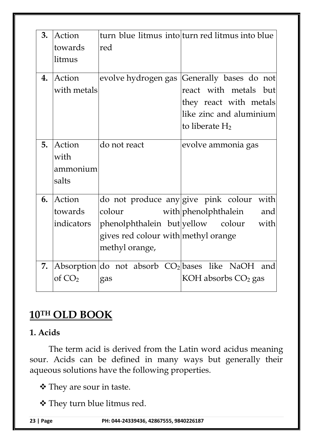| 3. | Action<br>towards<br>litmus         | red                                                                                                    | turn blue litmus into turn red litmus into blue                                                                                               |
|----|-------------------------------------|--------------------------------------------------------------------------------------------------------|-----------------------------------------------------------------------------------------------------------------------------------------------|
| 4. | Action<br>with metals               |                                                                                                        | evolve hydrogen gas Generally bases do not<br>react with metals but<br>they react with metals<br>like zinc and aluminium<br>to liberate $H_2$ |
| 5. | Action<br>with<br>ammonium<br>salts | do not react                                                                                           | evolve ammonia gas                                                                                                                            |
| 6. | Action<br>towards<br>indicators     | do not produce any give pink colour<br>colour<br>gives red colour with methyl orange<br>methyl orange, | with<br>with phenolphthalein<br>and<br>phenolphthalein but yellow colour with                                                                 |
| 7. | of $CO2$                            | gas                                                                                                    | Absorption do not absorb $CO2$ bases like NaOH and<br>KOH absorbs $CO2$ gas                                                                   |

## **10TH OLD BOOK**

## **1. Acids**

The term acid is derived from the Latin word acidus meaning sour. Acids can be defined in many ways but generally their aqueous solutions have the following properties.

They are sour in taste.

They turn blue litmus red.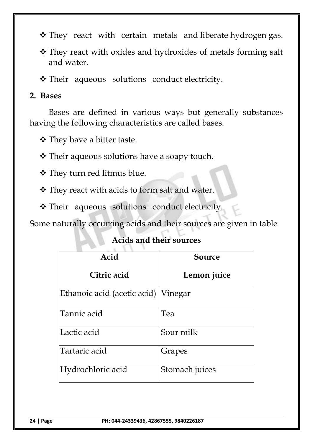- \* They react with certain metals and liberate hydrogen gas.
- They react with oxides and hydroxides of metals forming salt and water.

Their aqueous solutions conduct electricity.

#### **2. Bases**

Bases are defined in various ways but generally substances having the following characteristics are called bases.

They have a bitter taste.

**❖** Their aqueous solutions have a soapy touch.

They turn red litmus blue.

They react with acids to form salt and water.

\* Their aqueous solutions conduct electricity.

Some naturally occurring acids and their sources are given in table

#### **Acids and their sources**

| Acid                        | <b>Source</b>  |
|-----------------------------|----------------|
| Citric acid                 | Lemon juice    |
| Ethanoic acid (acetic acid) | Vinegar        |
| Tannic acid                 | Tea            |
| Lactic acid                 | Sour milk      |
| Tartaric acid               | Grapes         |
| Hydrochloric acid           | Stomach juices |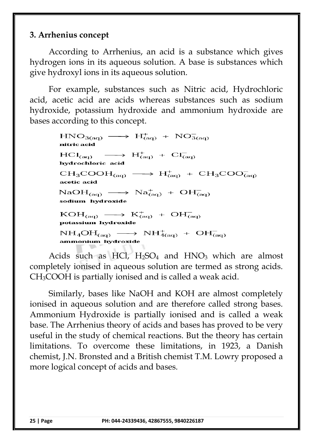## **3. Arrhenius concept**

According to Arrhenius, an acid is a substance which gives hydrogen ions in its aqueous solution. A base is substances which give hydroxyl ions in its aqueous solution.

For example, substances such as Nitric acid, Hydrochloric acid, acetic acid are acids whereas substances such as sodium hydroxide, potassium hydroxide and ammonium hydroxide are bases according to this concept.

> $HNO<sub>3(aq)</sub> \longrightarrow H<sup>+</sup><sub>(aq)</sub> + NO<sub>3(aq)</sub>$ nitric acid  $\longrightarrow$  H<sub>(aq)</sub> + C1<sub>(aq)</sub>  $HC1_{(aa)}$ hydrochloric acid  $CH_3COOH_{(aq)} \longrightarrow H^+_{(aq)} + CH_3COO^-_{(aq)}$ acetic acid  $NaOH_{(aq)} \longrightarrow Na_{(aq)}^{+} + OH_{(aq)}^{-}$ sodium hydroxide  $KOH_{(aq)} \longrightarrow K^+_{(aq)} + OH^-_{(aq)}$ potassium hydroxide  $NH_4OH_{(aq)} \longrightarrow NH_{4(aq)}^+ + OH_{(aq)}^$ ammonium hydroxide

Acids such as HCl,  $H_2SO_4$  and  $HNO_3$  which are almost completely ionised in aqueous solution are termed as strong acids. CH3COOH is partially ionised and is called a weak acid.

Similarly, bases like NaOH and KOH are almost completely ionised in aqueous solution and are therefore called strong bases. Ammonium Hydroxide is partially ionised and is called a weak base. The Arrhenius theory of acids and bases has proved to be very useful in the study of chemical reactions. But the theory has certain limitations. To overcome these limitations, in 1923, a Danish chemist, J.N. Bronsted and a British chemist T.M. Lowry proposed a more logical concept of acids and bases.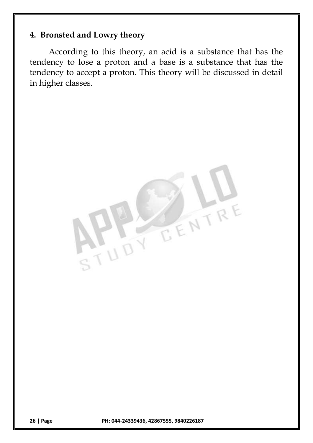## **4. Bronsted and Lowry theory**

According to this theory, an acid is a substance that has the tendency to lose a proton and a base is a substance that has the tendency to accept a proton. This theory will be discussed in detail in higher classes.

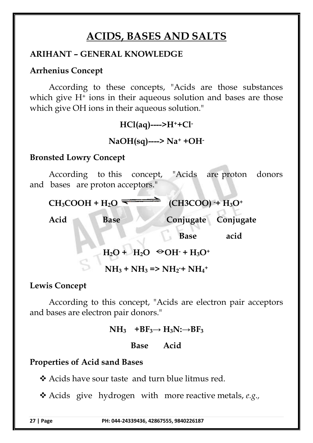## **ACIDS, BASES AND SALTS**

## **ARIHANT – GENERAL KNOWLEDGE**

#### **Arrhenius Concept**

According to these concepts, "Acids are those substances which give  $H^+$  ions in their aqueous solution and bases are those which give OH ions in their aqueous solution."

**HCl(aq)---->H++Cl-**

**NaOH(sq)----> Na<sup>+</sup> +OH-**

#### **Bronsted Lowry Concept**

According to this concept, "Acids are proton donors and bases are proton acceptors."

 $CH_3COOH + H_2O \rightarrow CH_3COO + H_3O^+$ 

Acid **Base Conjugate Conjugate** 

 **Base acid**

 $H_2O + H_2O \cong OH \cdot + H_3O^+$ 

 $NH_3 + NH_3 \Rightarrow NH_2 + NH_4 +$ 

#### **Lewis Concept**

According to this concept, "Acids are electron pair acceptors and bases are electron pair donors."

 $NH_3$  +BF<sub>3</sub> $\rightarrow$  H<sub>3</sub>N: $\rightarrow$ BF<sub>3</sub>

**Base Acid** 

#### **Properties of Acid sand Bases**

Acids have sour taste and turn blue litmus red.

Acids give hydrogen with more reactive metals, *e.g.,*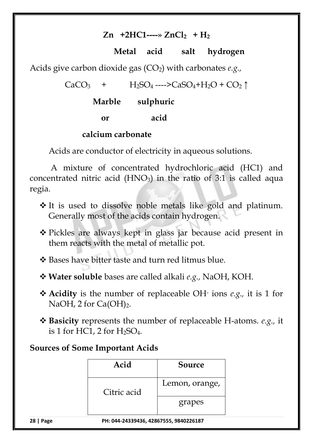## **Zn +2HC1----» ZnCl2 + H<sup>2</sup>**

## **Metal acid salt hydrogen**

Acids give carbon dioxide gas  $(CO<sub>2</sub>)$  with carbonates *e.g.*,

 $CaCO<sub>3</sub>$  +  $H<sub>2</sub>SO<sub>4</sub>$  ---->CaSO<sub>4</sub>+H<sub>2</sub>O + CO<sub>2</sub>  $\uparrow$ 

## **Marble sulphuric**

 **or acid**

#### **calcium carbonate**

Acids are conductor of electricity in aqueous solutions.

A mixture of concentrated hydrochloric acid (HC1) and concentrated nitric acid  $(HNO<sub>3</sub>)$  in the ratio of 3:1 is called aqua regia.

- It is used to dissolve noble metals like gold and platinum. Generally most of the acids contain hydrogen.
- Pickles are always kept in glass jar because acid present in them reacts with the metal of metallic pot.

Bases have bitter taste and turn red litmus blue.

**Water soluble** bases are called alkali *e.g.,* NaOH, KOH.

- **Acidity** is the number of replaceable OH-ions *e.g.,* it is 1 for NaOH, 2 for  $Ca(OH)_2$ .
- **Basicity** represents the number of replaceable H-atoms. *e.g.,* it is 1 for HC1, 2 for  $H_2SO_4$ .

## **Sources of Some Important Acids**

| Acid                                                       | Source         |  |
|------------------------------------------------------------|----------------|--|
| Citric acid                                                | Lemon, orange, |  |
|                                                            | grapes         |  |
| <u>DIL AAA AAAAAAAC</u><br>00 <u>10336107</u><br>130077000 |                |  |

**<sup>28</sup> | Page PH: 044-24339436, 42867555, 9840226187**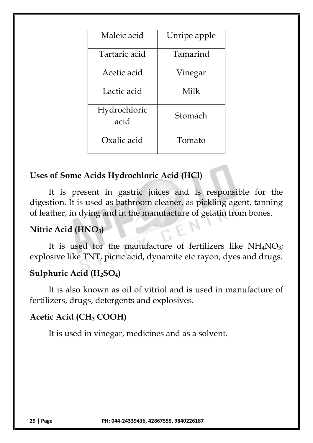| Maleic acid          | Unripe apple |
|----------------------|--------------|
| Tartaric acid        | Tamarind     |
| Acetic acid          | Vinegar      |
| Lactic acid          | Milk         |
| Hydrochloric<br>acid | Stomach      |
| Oxalic acid          | Tomato       |

## **Uses of Some Acids Hydrochloric Acid (HCl)**

It is present in gastric juices and is responsible for the digestion. It is used as bathroom cleaner, as pickling agent, tanning of leather, in dying and in the manufacture of gelatin from bones.

## **Nitric Acid (HNO3)**

It is used for the manufacture of fertilizers like  $NH<sub>4</sub>NO<sub>3</sub>$ ; explosive like TNT, picric acid, dynamite etc rayon, dyes and drugs.

## **Sulphuric Acid (H2SO4)**

It is also known as oil of vitriol and is used in manufacture of fertilizers, drugs, detergents and explosives.

#### **Acetic Acid (CH<sup>3</sup> COOH)**

It is used in vinegar, medicines and as a solvent.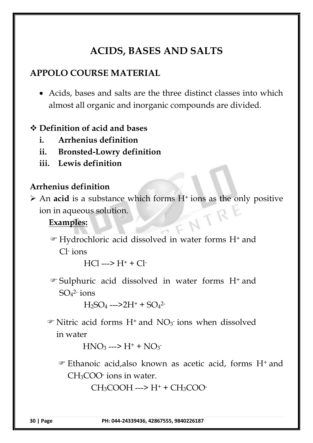## **ACIDS, BASES AND SALTS**

## **APPOLO COURSE MATERIAL**

 Acids, bases and salts are the three distinct classes into which almost all organic and inorganic compounds are divided.

#### **Definition of acid and bases**

- **i. Arrhenius definition**
- **ii. Bronsted-Lowry definition**
- **iii. Lewis definition**

#### **Arrhenius definition**

→ An **acid** is a substance which forms H<sup>+</sup> ions as the only positive ion in aqueous solution.<br>Examples: ion in aqueous solution.

#### **Examples:**

 Hydrochloric acid dissolved in water forms H<sup>+</sup> and Cl-ions

 $HC1$  --->  $H^+$  +  $Cl^-$ 

 Sulphuric acid dissolved in water forms H<sup>+</sup> and  $\mathop{\mathrm{SO}}\nolimits_4{}^{\mathop{2\mathrm{ -}}}$  ions

 $H_2SO_4 \longrightarrow 2H^+ + SO_4^2$ 

 $\mathcal{F}$  Nitric acid forms H<sup>+</sup> and NO<sub>3</sub> ions when dissolved in water

 $HNO<sub>3</sub>$  --->  $H<sup>+</sup>$  +  $NO<sub>3</sub>$ 

 Ethanoic acid,also known as acetic acid, forms H<sup>+</sup> and CH3COO-ions in water.

 $CH_3COOH$  --->  $H^+$  +  $CH_3COO^-$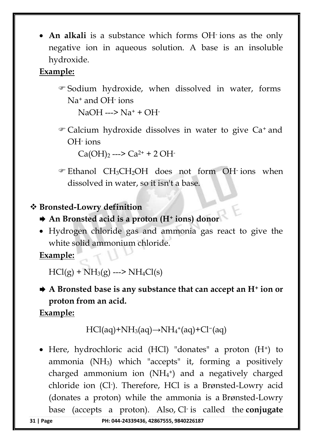• An alkali is a substance which forms OH ions as the only negative ion in aqueous solution. A base is an insoluble hydroxide.

## **Example:**

 Sodium hydroxide, when dissolved in water, forms Na<sup>+</sup> and OH-ions

 $NaOH$  --->  $Na^+$  + OH-

 Calcium hydroxide dissolves in water to give Ca<sup>+</sup> and OH-ions

 $Ca(OH)_{2} \longrightarrow Ca^{2+} + 2 OH$ 

 $\mathcal{F}$  Ethanol CH<sub>3</sub>CH<sub>2</sub>OH does not form OH ions when dissolved in water, so it isn't a base.

## **Bronsted-Lowry definition**

- **An Bronsted acid is a proton (H<sup>+</sup> ions) donor**
- Hydrogen chloride gas and ammonia gas react to give the white solid ammonium chloride.

**Example:**

 $HCl(g) + NH_3(g)$  --->  $NH_4Cl(s)$ 

 **A Bronsted base is any substance that can accept an H<sup>+</sup> ion or proton from an acid.**

## **Example:**

$$
HCl(aq)+NH_3(aq) {\rightarrow} NH_4^+(aq)+Cl^-(aq)
$$

 $\bullet$  Here, hydrochloric acid (HCl) "donates" a proton (H<sup>+</sup>) to ammonia  $(NH_3)$  which "accepts" it, forming a positively charged ammonium ion  $(NH_4^+)$  and a negatively charged chloride ion (Cl-). Therefore, HCl is a Brønsted-Lowry acid (donates a proton) while the ammonia is a Brønsted-Lowry base (accepts a proton). Also, Cl-is called the **conjugate**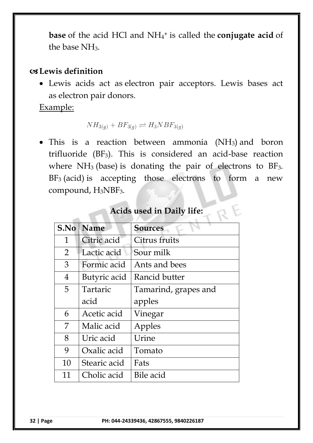**base** of the acid HCl and NH<sup>4</sup> <sup>+</sup> is called the **conjugate acid** of the base NH3.

#### **Lewis definition**

 Lewis acids act as electron pair acceptors. Lewis bases act as electron pair donors.

Example:

 $NH_{3(q)} + BF_{3(q)} \rightleftharpoons H_3NBF_{3(q)}$ 

• This is a reaction between ammonia  $(NH_3)$  and boron trifluoride (BF3). This is considered an acid-base reaction where  $NH<sub>3</sub>$  (base) is donating the pair of electrons to  $BF<sub>3</sub>$ .  $BF_3$  (acid) is accepting those electrons to form a new compound, H<sub>3</sub>NBF<sub>3</sub>.

| S.No           | <b>Name</b>  | <b>Sources</b>       |
|----------------|--------------|----------------------|
| 1              | Citric acid  | Citrus fruits        |
| 2              | Lactic acid  | Sour milk            |
| 3              | Formic acid  | Ants and bees        |
| $\overline{4}$ | Butyric acid | Rancid butter        |
| 5              | Tartaric     | Tamarind, grapes and |
|                | acid         | apples               |
| 6              | Acetic acid  | Vinegar              |
| 7              | Malic acid   | Apples               |
| 8              | Uric acid    | Urine                |
| 9              | Oxalic acid  | Tomato               |
| 10             | Stearic acid | Fats                 |
| 11             | Cholic acid  | Bile acid            |

#### **Acids used in Daily life:**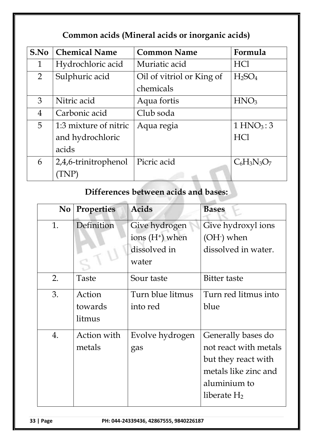## **Common acids (Mineral acids or inorganic acids)**

| S.No           | <b>Chemical Name</b>  | <b>Common Name</b>        | Formula                        |
|----------------|-----------------------|---------------------------|--------------------------------|
| $\mathbf 1$    | Hydrochloric acid     | Muriatic acid             | <b>HCl</b>                     |
| $\overline{2}$ | Sulphuric acid        | Oil of vitriol or King of | H <sub>2</sub> SO <sub>4</sub> |
|                |                       | chemicals                 |                                |
| 3              | Nitric acid           | Aqua fortis               | HNO <sub>3</sub>               |
| $\overline{4}$ | Carbonic acid         | Club soda                 |                                |
| 5              | 1:3 mixture of nitric | Aqua regia                | 1 HNO <sub>3</sub> : 3         |
|                | and hydrochloric      |                           | <b>HCl</b>                     |
|                | acids                 |                           |                                |
| 6              | 2,4,6-trinitrophenol  | Picric acid               | $C_6H_3N_3O_7$                 |
|                |                       |                           |                                |

## **Differences between acids and bases:**

| $\bf{No}$ | <b>Properties</b> | <b>Acids</b>                | <b>Bases</b>          |
|-----------|-------------------|-----------------------------|-----------------------|
| 1.        | Definition        | Give hydrogen               | Give hydroxyl ions    |
|           |                   | ions (H <sup>+</sup> ) when | $(OH1)$ when          |
|           |                   | dissolved in                | dissolved in water.   |
|           |                   | water                       |                       |
| 2.        | Taste             | Sour taste                  | Bitter taste          |
| 3.        | Action            | Turn blue litmus            | Turn red litmus into  |
|           | towards           | into red                    | blue                  |
|           | litmus            |                             |                       |
| 4.        | Action with       | Evolve hydrogen             | Generally bases do    |
|           | metals            | gas                         | not react with metals |
|           |                   |                             | but they react with   |
|           |                   |                             | metals like zinc and  |
|           |                   |                             | aluminium to          |
|           |                   |                             | liberate $H_2$        |
|           |                   |                             |                       |